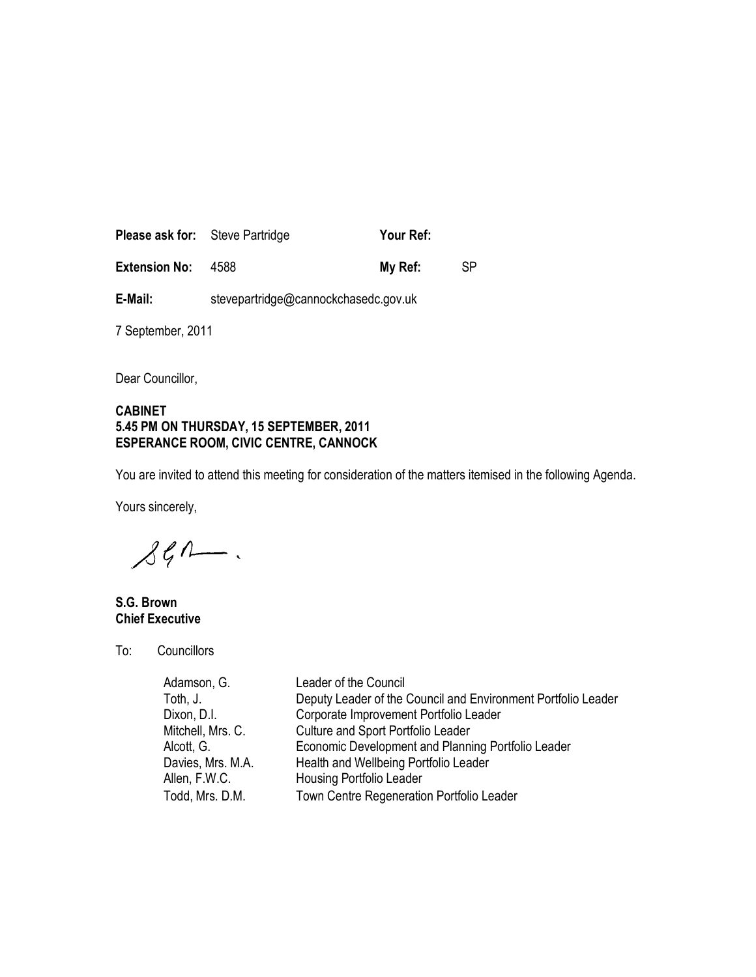| <b>Please ask for:</b> Steve Partridge |      | Your Ref: |     |
|----------------------------------------|------|-----------|-----|
| <b>Extension No:</b>                   | 4588 | My Ref:   | SP. |

E-Mail: stevepartridge@cannockchasedc.gov.uk

7 September, 2011

Dear Councillor,

## CABINET 5.45 PM ON THURSDAY, 15 SEPTEMBER, 2011 ESPERANCE ROOM, CIVIC CENTRE, CANNOCK

You are invited to attend this meeting for consideration of the matters itemised in the following Agenda.

Yours sincerely,

 $\mathcal{L}$ len.

S.G. Brown Chief Executive

To: Councillors

| Adamson, G.       | Leader of the Council                                         |
|-------------------|---------------------------------------------------------------|
| Toth, J.          | Deputy Leader of the Council and Environment Portfolio Leader |
| Dixon, D.I.       | Corporate Improvement Portfolio Leader                        |
| Mitchell, Mrs. C. | <b>Culture and Sport Portfolio Leader</b>                     |
| Alcott, G.        | Economic Development and Planning Portfolio Leader            |
| Davies, Mrs. M.A. | Health and Wellbeing Portfolio Leader                         |
| Allen, F.W.C.     | <b>Housing Portfolio Leader</b>                               |
| Todd, Mrs. D.M.   | Town Centre Regeneration Portfolio Leader                     |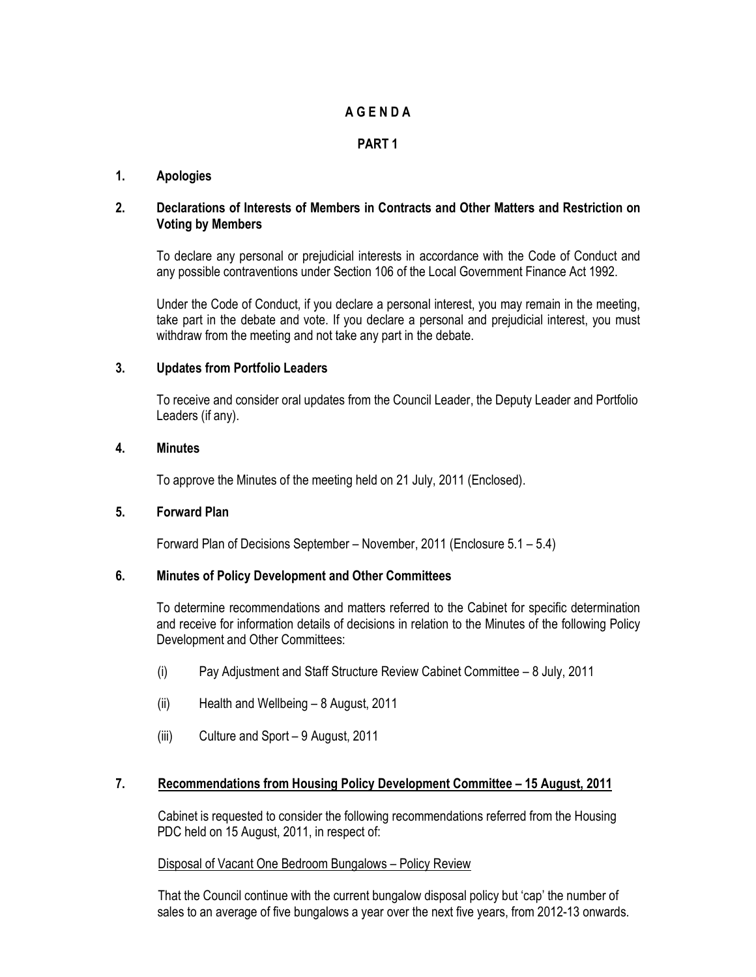# A G E N D A

# PART 1

## 1. Apologies

## 2. Declarations of Interests of Members in Contracts and Other Matters and Restriction on Voting by Members

To declare any personal or prejudicial interests in accordance with the Code of Conduct and any possible contraventions under Section 106 of the Local Government Finance Act 1992.

Under the Code of Conduct, if you declare a personal interest, you may remain in the meeting, take part in the debate and vote. If you declare a personal and prejudicial interest, you must withdraw from the meeting and not take any part in the debate.

#### 3. Updates from Portfolio Leaders

To receive and consider oral updates from the Council Leader, the Deputy Leader and Portfolio Leaders (if any).

### 4. Minutes

To approve the Minutes of the meeting held on 21 July, 2011 (Enclosed).

## 5. Forward Plan

Forward Plan of Decisions September – November, 2011 (Enclosure 5.1 – 5.4)

#### 6. Minutes of Policy Development and Other Committees

To determine recommendations and matters referred to the Cabinet for specific determination and receive for information details of decisions in relation to the Minutes of the following Policy Development and Other Committees:

- (i) Pay Adjustment and Staff Structure Review Cabinet Committee 8 July, 2011
- (ii) Health and Wellbeing 8 August, 2011
- (iii) Culture and Sport 9 August, 2011

## 7. Recommendations from Housing Policy Development Committee – 15 August, 2011

Cabinet is requested to consider the following recommendations referred from the Housing PDC held on 15 August, 2011, in respect of:

#### Disposal of Vacant One Bedroom Bungalows – Policy Review

That the Council continue with the current bungalow disposal policy but 'cap' the number of sales to an average of five bungalows a year over the next five years, from 2012-13 onwards.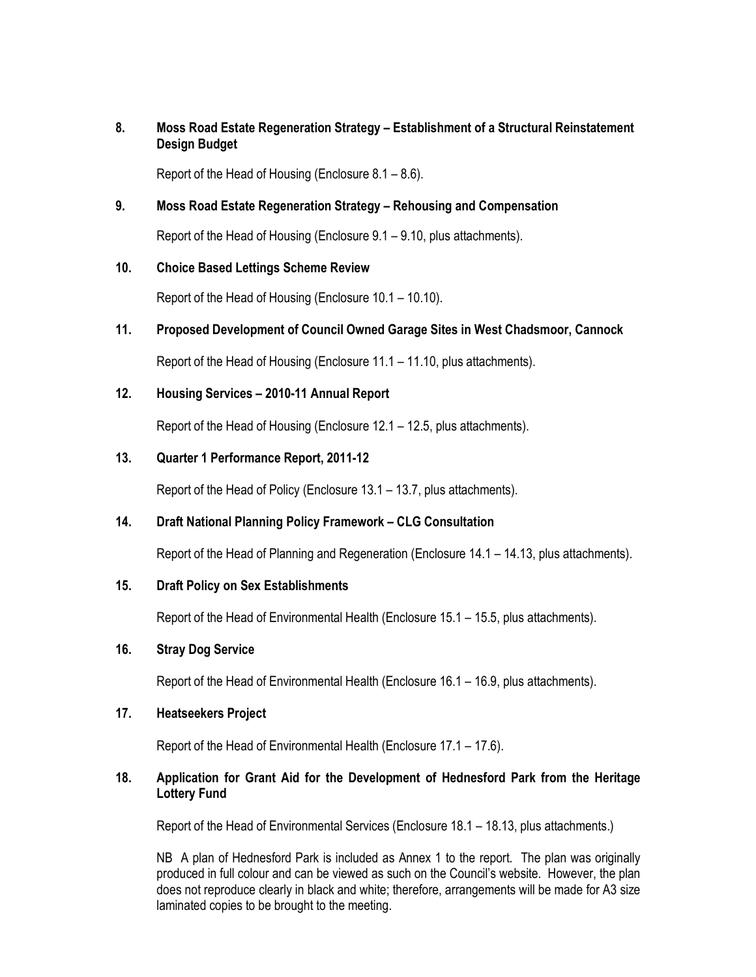## 8. Moss Road Estate Regeneration Strategy – Establishment of a Structural Reinstatement Design Budget

Report of the Head of Housing (Enclosure 8.1 – 8.6).

## 9. Moss Road Estate Regeneration Strategy – Rehousing and Compensation

Report of the Head of Housing (Enclosure 9.1 – 9.10, plus attachments).

## 10. Choice Based Lettings Scheme Review

Report of the Head of Housing (Enclosure 10.1 – 10.10).

## 11. Proposed Development of Council Owned Garage Sites in West Chadsmoor, Cannock

Report of the Head of Housing (Enclosure 11.1 – 11.10, plus attachments).

## 12. Housing Services – 2010-11 Annual Report

Report of the Head of Housing (Enclosure 12.1 – 12.5, plus attachments).

#### 13. Quarter 1 Performance Report, 2011-12

Report of the Head of Policy (Enclosure 13.1 – 13.7, plus attachments).

## 14. Draft National Planning Policy Framework – CLG Consultation

Report of the Head of Planning and Regeneration (Enclosure 14.1 – 14.13, plus attachments).

## 15. Draft Policy on Sex Establishments

Report of the Head of Environmental Health (Enclosure 15.1 – 15.5, plus attachments).

#### 16. Stray Dog Service

Report of the Head of Environmental Health (Enclosure 16.1 – 16.9, plus attachments).

#### 17. Heatseekers Project

Report of the Head of Environmental Health (Enclosure 17.1 – 17.6).

## 18. Application for Grant Aid for the Development of Hednesford Park from the Heritage Lottery Fund

Report of the Head of Environmental Services (Enclosure 18.1 – 18.13, plus attachments.)

NB A plan of Hednesford Park is included as Annex 1 to the report. The plan was originally produced in full colour and can be viewed as such on the Council's website. However, the plan does not reproduce clearly in black and white; therefore, arrangements will be made for A3 size laminated copies to be brought to the meeting.